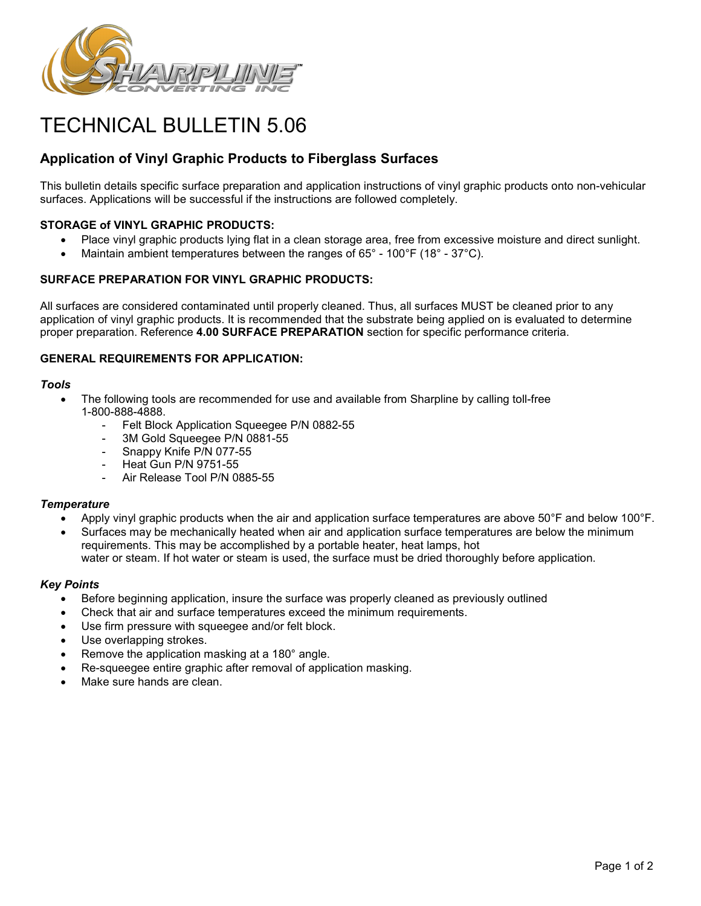

# TECHNICAL BULLETIN 5.06

## **Application of Vinyl Graphic Products to Fiberglass Surfaces**

This bulletin details specific surface preparation and application instructions of vinyl graphic products onto non-vehicular surfaces. Applications will be successful if the instructions are followed completely.

## **STORAGE of VINYL GRAPHIC PRODUCTS:**

- Place vinyl graphic products lying flat in a clean storage area, free from excessive moisture and direct sunlight.
- Maintain ambient temperatures between the ranges of 65° 100°F (18° 37°C).

## **SURFACE PREPARATION FOR VINYL GRAPHIC PRODUCTS:**

All surfaces are considered contaminated until properly cleaned. Thus, all surfaces MUST be cleaned prior to any application of vinyl graphic products. It is recommended that the substrate being applied on is evaluated to determine proper preparation. Reference **4.00 SURFACE PREPARATION** section for specific performance criteria.

## **GENERAL REQUIREMENTS FOR APPLICATION:**

#### *Tools*

- The following tools are recommended for use and available from Sharpline by calling toll-free 1-800-888-4888.
	- Felt Block Application Squeegee P/N 0882-55
	- 3M Gold Squeegee P/N 0881-55
	- Snappy Knife P/N 077-55
	- Heat Gun P/N 9751-55
	- Air Release Tool P/N 0885-55

## *Temperature*

- Apply vinyl graphic products when the air and application surface temperatures are above 50°F and below 100°F.
- Surfaces may be mechanically heated when air and application surface temperatures are below the minimum requirements. This may be accomplished by a portable heater, heat lamps, hot water or steam. If hot water or steam is used, the surface must be dried thoroughly before application.

## *Key Points*

- Before beginning application, insure the surface was properly cleaned as previously outlined
- Check that air and surface temperatures exceed the minimum requirements.
- Use firm pressure with squeegee and/or felt block.
- Use overlapping strokes.
- Remove the application masking at a 180° angle.
- Re-squeegee entire graphic after removal of application masking.
- Make sure hands are clean.